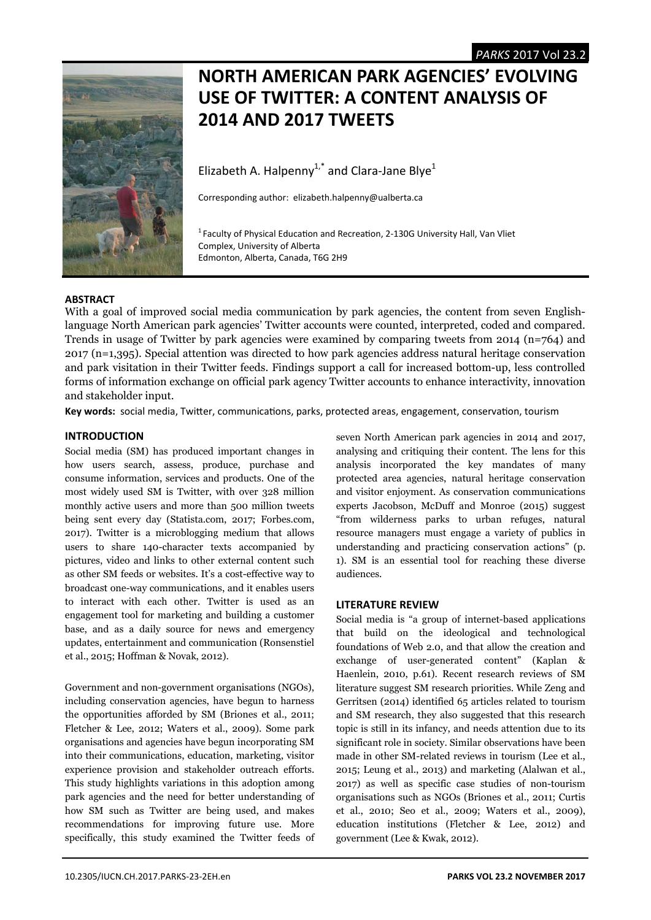

# **NORTH AMERICAN PARK AGENCIES' EVOLVING USE OF TWITTER: A CONTENT ANALYSIS OF 2014 AND 2017 TWEETS**

Elizabeth A. Halpenny<sup>1,\*</sup> and Clara-Jane Blye<sup>1</sup>

Corresponding author: elizabeth.halpenny@ualberta.ca

<sup>1</sup> Faculty of Physical Education and Recreation, 2-130G University Hall, Van Vliet Complex, University of Alberta Edmonton, Alberta, Canada, T6G 2H9

# **ABSTRACT**

With a goal of improved social media communication by park agencies, the content from seven Englishlanguage North American park agencies' Twitter accounts were counted, interpreted, coded and compared. Trends in usage of Twitter by park agencies were examined by comparing tweets from 2014 ( $n=764$ ) and 2017 (n=1,395). Special attention was directed to how park agencies address natural heritage conservation and park visitation in their Twitter feeds. Findings support a call for increased bottom-up, less controlled forms of information exchange on official park agency Twitter accounts to enhance interactivity, innovation and stakeholder input.

Key words: social media, Twitter, communications, parks, protected areas, engagement, conservation, tourism

# **INTRODUCTION**

Social media (SM) has produced important changes in how users search, assess, produce, purchase and consume information, services and products. One of the most widely used SM is Twitter, with over 328 million monthly active users and more than 500 million tweets being sent every day (Statista.com, 2017; Forbes.com, 2017). Twitter is a microblogging medium that allows users to share 140-character texts accompanied by pictures, video and links to other external content such as other SM feeds or websites. It's a cost-effective way to broadcast one-way communications, and it enables users to interact with each other. Twitter is used as an engagement tool for marketing and building a customer base, and as a daily source for news and emergency updates, entertainment and communication (Ronsenstiel et al., 2015; Hoffman & Novak, 2012).

Government and non-government organisations (NGOs), including conservation agencies, have begun to harness the opportunities afforded by SM (Briones et al., 2011; Fletcher & Lee, 2012; Waters et al., 2009). Some park organisations and agencies have begun incorporating SM into their communications, education, marketing, visitor experience provision and stakeholder outreach efforts. This study highlights variations in this adoption among park agencies and the need for better understanding of how SM such as Twitter are being used, and makes recommendations for improving future use. More specifically, this study examined the Twitter feeds of seven North American park agencies in 2014 and 2017, analysing and critiquing their content. The lens for this analysis incorporated the key mandates of many protected area agencies, natural heritage conservation and visitor enjoyment. As conservation communications experts Jacobson, McDuff and Monroe (2015) suggest "from wilderness parks to urban refuges, natural resource managers must engage a variety of publics in understanding and practicing conservation actions" (p. 1). SM is an essential tool for reaching these diverse audiences.

# **LITERATURE REVIEW**

Social media is "a group of internet-based applications that build on the ideological and technological foundations of Web 2.0, and that allow the creation and exchange of user-generated content" (Kaplan & Haenlein, 2010, p.61). Recent research reviews of SM literature suggest SM research priorities. While Zeng and Gerritsen (2014) identified 65 articles related to tourism and SM research, they also suggested that this research topic is still in its infancy, and needs attention due to its significant role in society. Similar observations have been made in other SM-related reviews in tourism (Lee et al., 2015; Leung et al., 2013) and marketing (Alalwan et al., 2017) as well as specific case studies of non-tourism organisations such as NGOs (Briones et al., 2011; Curtis et al., 2010; Seo et al., 2009; Waters et al., 2009), education institutions (Fletcher & Lee, 2012) and government (Lee & Kwak, 2012).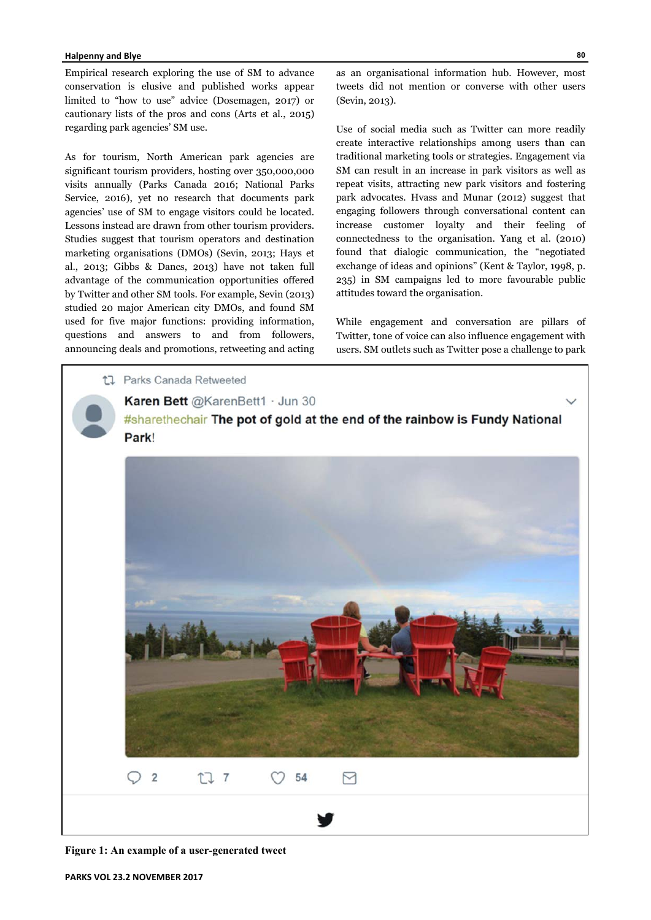## **Halpenny and Blye**

Empirical research exploring the use of SM to advance conservation is elusive and published works appear limited to "how to use" advice (Dosemagen, 2017) or cautionary lists of the pros and cons (Arts et al., 2015) regarding park agencies' SM use.

As for tourism, North American park agencies are significant tourism providers, hosting over 350,000,000 visits annually (Parks Canada 2016; National Parks Service, 2016), yet no research that documents park agencies' use of SM to engage visitors could be located. Lessons instead are drawn from other tourism providers. Studies suggest that tourism operators and destination marketing organisations (DMOs) (Sevin, 2013; Hays et al., 2013; Gibbs & Dancs, 2013) have not taken full advantage of the communication opportunities offered by Twitter and other SM tools. For example, Sevin (2013) studied 20 major American city DMOs, and found SM used for five major functions: providing information, questions and answers to and from followers, announcing deals and promotions, retweeting and acting

as an organisational information hub. However, most tweets did not mention or converse with other users (Sevin, 2013).

Use of social media such as Twitter can more readily create interactive relationships among users than can traditional marketing tools or strategies. Engagement via SM can result in an increase in park visitors as well as repeat visits, attracting new park visitors and fostering park advocates. Hvass and Munar (2012) suggest that engaging followers through conversational content can increase customer loyalty and their feeling of connectedness to the organisation. Yang et al. (2010) found that dialogic communication, the "negotiated exchange of ideas and opinions" (Kent & Taylor, 1998, p. 235) in SM campaigns led to more favourable public attitudes toward the organisation.

While engagement and conversation are pillars of Twitter, tone of voice can also influence engagement with users. SM outlets such as Twitter pose a challenge to park



**Figure 1: An example of a user-generated tweet**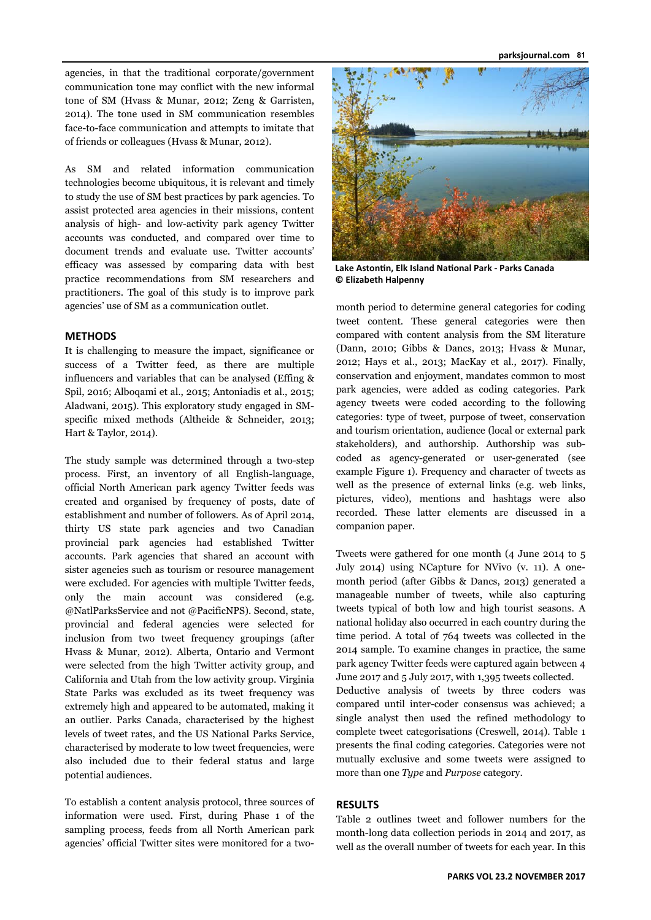agencies, in that the traditional corporate/government communication tone may conflict with the new informal tone of SM (Hvass & Munar, 2012; Zeng & Garristen, 2014). The tone used in SM communication resembles face-to-face communication and attempts to imitate that of friends or colleagues (Hvass & Munar, 2012).

As SM and related information communication technologies become ubiquitous, it is relevant and timely to study the use of SM best practices by park agencies. To assist protected area agencies in their missions, content analysis of high- and low-activity park agency Twitter accounts was conducted, and compared over time to document trends and evaluate use. Twitter accounts' efficacy was assessed by comparing data with best practice recommendations from SM researchers and practitioners. The goal of this study is to improve park agencies' use of SM as a communication outlet.

## **METHODS**

It is challenging to measure the impact, significance or success of a Twitter feed, as there are multiple influencers and variables that can be analysed (Effing & Spil, 2016; Alboqami et al., 2015; Antoniadis et al., 2015; Aladwani, 2015). This exploratory study engaged in SMspecific mixed methods (Altheide & Schneider, 2013; Hart & Taylor, 2014).

The study sample was determined through a two-step process. First, an inventory of all English-language, official North American park agency Twitter feeds was created and organised by frequency of posts, date of establishment and number of followers. As of April 2014, thirty US state park agencies and two Canadian provincial park agencies had established Twitter accounts. Park agencies that shared an account with sister agencies such as tourism or resource management were excluded. For agencies with multiple Twitter feeds, only the main account was considered (e.g. @NatlParksService and not @PacificNPS). Second, state, provincial and federal agencies were selected for inclusion from two tweet frequency groupings (after Hvass & Munar, 2012). Alberta, Ontario and Vermont were selected from the high Twitter activity group, and California and Utah from the low activity group. Virginia State Parks was excluded as its tweet frequency was extremely high and appeared to be automated, making it an outlier. Parks Canada, characterised by the highest levels of tweet rates, and the US National Parks Service, characterised by moderate to low tweet frequencies, were also included due to their federal status and large potential audiences.

To establish a content analysis protocol, three sources of information were used. First, during Phase 1 of the sampling process, feeds from all North American park agencies' official Twitter sites were monitored for a two-



**Lake AstonƟn, Elk Island NaƟonal Park ‐ Parks Canada © Elizabeth Halpenny** 

month period to determine general categories for coding tweet content. These general categories were then compared with content analysis from the SM literature (Dann, 2010; Gibbs & Dancs, 2013; Hvass & Munar, 2012; Hays et al., 2013; MacKay et al., 2017). Finally, conservation and enjoyment, mandates common to most park agencies, were added as coding categories. Park agency tweets were coded according to the following categories: type of tweet, purpose of tweet, conservation and tourism orientation, audience (local or external park stakeholders), and authorship. Authorship was subcoded as agency-generated or user-generated (see example Figure 1). Frequency and character of tweets as well as the presence of external links (e.g. web links, pictures, video), mentions and hashtags were also recorded. These latter elements are discussed in a companion paper.

Tweets were gathered for one month (4 June 2014 to 5 July 2014) using NCapture for NVivo (v. 11). A onemonth period (after Gibbs & Dancs, 2013) generated a manageable number of tweets, while also capturing tweets typical of both low and high tourist seasons. A national holiday also occurred in each country during the time period. A total of 764 tweets was collected in the 2014 sample. To examine changes in practice, the same park agency Twitter feeds were captured again between 4 June 2017 and 5 July 2017, with 1,395 tweets collected. Deductive analysis of tweets by three coders was compared until inter-coder consensus was achieved; a single analyst then used the refined methodology to complete tweet categorisations (Creswell, 2014). Table 1 presents the final coding categories. Categories were not mutually exclusive and some tweets were assigned to

## **RESULTS**

Table 2 outlines tweet and follower numbers for the month-long data collection periods in 2014 and 2017, as well as the overall number of tweets for each year. In this

more than one *Type* and *Purpose* category.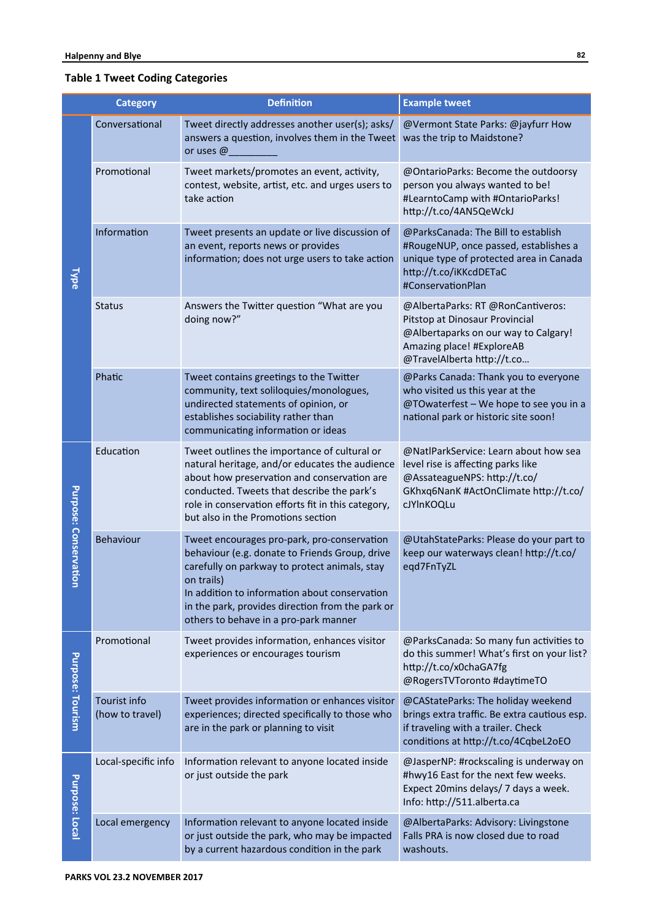# **Table 1 Tweet Coding Categories**

|                         | <b>Category</b>                 | <b>Definition</b>                                                                                                                                                                                                                                                                                          | <b>Example tweet</b>                                                                                                                                                   |  |  |  |  |
|-------------------------|---------------------------------|------------------------------------------------------------------------------------------------------------------------------------------------------------------------------------------------------------------------------------------------------------------------------------------------------------|------------------------------------------------------------------------------------------------------------------------------------------------------------------------|--|--|--|--|
|                         | Conversational                  | Tweet directly addresses another user(s); asks/<br>answers a question, involves them in the Tweet<br>or uses @                                                                                                                                                                                             | @Vermont State Parks: @jayfurr How<br>was the trip to Maidstone?                                                                                                       |  |  |  |  |
|                         | Promotional                     | Tweet markets/promotes an event, activity,<br>contest, website, artist, etc. and urges users to<br>take action                                                                                                                                                                                             | @OntarioParks: Become the outdoorsy<br>person you always wanted to be!<br>#LearntoCamp with #OntarioParks!<br>http://t.co/4AN5QeWckJ                                   |  |  |  |  |
| <b>Type</b>             | Information                     | Tweet presents an update or live discussion of<br>an event, reports news or provides<br>information; does not urge users to take action                                                                                                                                                                    | @ParksCanada: The Bill to establish<br>#RougeNUP, once passed, establishes a<br>unique type of protected area in Canada<br>http://t.co/iKKcdDETaC<br>#ConservationPlan |  |  |  |  |
|                         | <b>Status</b>                   | Answers the Twitter question "What are you<br>doing now?"                                                                                                                                                                                                                                                  | @AlbertaParks: RT @RonCantiveros:<br>Pitstop at Dinosaur Provincial<br>@Albertaparks on our way to Calgary!<br>Amazing place! #ExploreAB<br>@TravelAlberta http://t.co |  |  |  |  |
|                         | Phatic                          | Tweet contains greetings to the Twitter<br>community, text soliloquies/monologues,<br>undirected statements of opinion, or<br>establishes sociability rather than<br>communicating information or ideas                                                                                                    | @Parks Canada: Thank you to everyone<br>who visited us this year at the<br>@TOwaterfest - We hope to see you in a<br>national park or historic site soon!              |  |  |  |  |
|                         | Education                       | Tweet outlines the importance of cultural or<br>natural heritage, and/or educates the audience<br>about how preservation and conservation are<br>conducted. Tweets that describe the park's<br>role in conservation efforts fit in this category,<br>but also in the Promotions section                    | @NatlParkService: Learn about how sea<br>level rise is affecting parks like<br>@AssateagueNPS: http://t.co/<br>GKhxq6NanK #ActOnClimate http://t.co/<br>cJYInKOQLu     |  |  |  |  |
| Purpose: Conservatio    | Behaviour                       | Tweet encourages pro-park, pro-conservation<br>behaviour (e.g. donate to Friends Group, drive<br>carefully on parkway to protect animals, stay<br>on trails)<br>In addition to information about conservation<br>in the park, provides direction from the park or<br>others to behave in a pro-park manner | @UtahStateParks: Please do your part to<br>keep our waterways clean! http://t.co/<br>eqd7FnTyZL                                                                        |  |  |  |  |
|                         | Promotional                     | Tweet provides information, enhances visitor<br>experiences or encourages tourism                                                                                                                                                                                                                          | @ParksCanada: So many fun activities to<br>do this summer! What's first on your list?<br>http://t.co/x0chaGA7fg<br>@RogersTVToronto #daytimeTO                         |  |  |  |  |
| <b>Purpose: Tourism</b> | Tourist info<br>(how to travel) | Tweet provides information or enhances visitor<br>experiences; directed specifically to those who<br>are in the park or planning to visit                                                                                                                                                                  | @CAStateParks: The holiday weekend<br>brings extra traffic. Be extra cautious esp.<br>if traveling with a trailer. Check<br>conditions at http://t.co/4CqbeL2oEO       |  |  |  |  |
| Purpose: Local          | Local-specific info             | Information relevant to anyone located inside<br>or just outside the park                                                                                                                                                                                                                                  | @JasperNP: #rockscaling is underway on<br>#hwy16 East for the next few weeks.<br>Expect 20mins delays/ 7 days a week.<br>Info: http://511.alberta.ca                   |  |  |  |  |
|                         | Local emergency                 | Information relevant to anyone located inside<br>or just outside the park, who may be impacted<br>by a current hazardous condition in the park                                                                                                                                                             | @AlbertaParks: Advisory: Livingstone<br>Falls PRA is now closed due to road<br>washouts.                                                                               |  |  |  |  |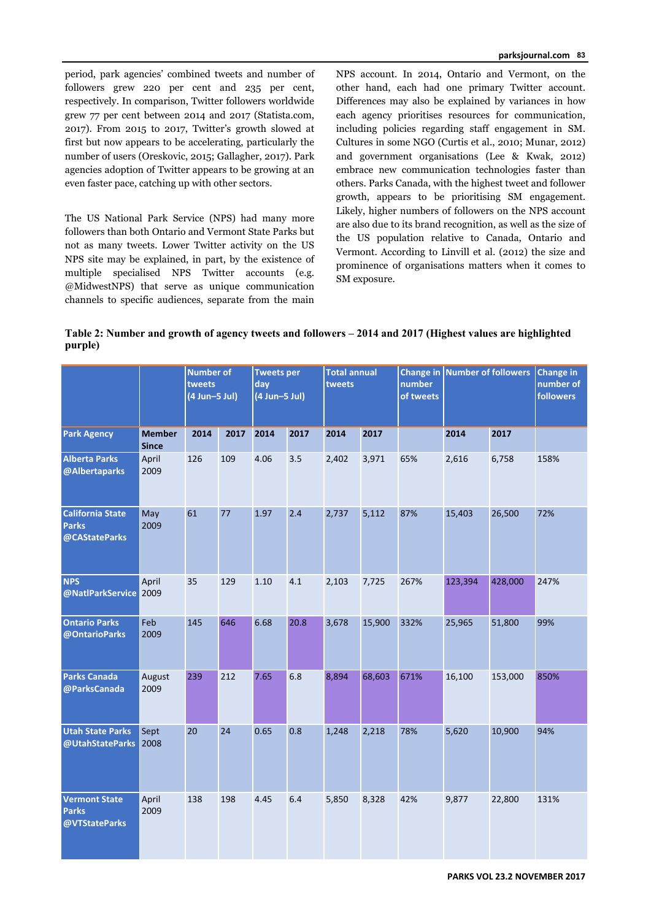period, park agencies' combined tweets and number of followers grew 220 per cent and 235 per cent, respectively. In comparison, Twitter followers worldwide grew 77 per cent between 2014 and 2017 (Statista.com, 2017). From 2015 to 2017, Twitter's growth slowed at first but now appears to be accelerating, particularly the number of users (Oreskovic, 2015; Gallagher, 2017). Park agencies adoption of Twitter appears to be growing at an even faster pace, catching up with other sectors.

The US National Park Service (NPS) had many more followers than both Ontario and Vermont State Parks but not as many tweets. Lower Twitter activity on the US NPS site may be explained, in part, by the existence of multiple specialised NPS Twitter accounts (e.g. @MidwestNPS) that serve as unique communication channels to specific audiences, separate from the main

NPS account. In 2014, Ontario and Vermont, on the other hand, each had one primary Twitter account. Differences may also be explained by variances in how each agency prioritises resources for communication, including policies regarding staff engagement in SM. Cultures in some NGO (Curtis et al., 2010; Munar, 2012) and government organisations (Lee & Kwak, 2012) embrace new communication technologies faster than others. Parks Canada, with the highest tweet and follower growth, appears to be prioritising SM engagement. Likely, higher numbers of followers on the NPS account are also due to its brand recognition, as well as the size of the US population relative to Canada, Ontario and Vermont. According to Linvill et al. (2012) the size and prominence of organisations matters when it comes to SM exposure.

**Table 2: Number and growth of agency tweets and followers – 2014 and 2017 (Highest values are highlighted purple)** 

|                                                          |                               | <b>Number of</b><br>tweets<br>day<br>$(4$ Jun-5 Jul) |      |      | <b>Tweets per</b><br>$(4$ Jun-5 Jul) |       | <b>Total annual</b><br>tweets |      | Change in Number of followers<br>of tweets |         | <b>Change in</b><br>number of<br><b>followers</b> |
|----------------------------------------------------------|-------------------------------|------------------------------------------------------|------|------|--------------------------------------|-------|-------------------------------|------|--------------------------------------------|---------|---------------------------------------------------|
| <b>Park Agency</b>                                       | <b>Member</b><br><b>Since</b> | 2014                                                 | 2017 | 2014 | 2017                                 | 2014  | 2017                          |      | 2014                                       | 2017    |                                                   |
| <b>Alberta Parks</b><br>@Albertaparks                    | April<br>2009                 | 126                                                  | 109  | 4.06 | 3.5                                  | 2,402 | 3,971                         | 65%  | 2,616                                      | 6,758   | 158%                                              |
| <b>California State</b><br><b>Parks</b><br>@CAStateParks | May<br>2009                   | 61                                                   | 77   | 1.97 | 2.4                                  | 2,737 | 5,112                         | 87%  | 15,403                                     | 26,500  | 72%                                               |
| <b>NPS</b><br>@NatlParkService 2009                      | April                         | 35                                                   | 129  | 1.10 | 4.1                                  | 2,103 | 7,725                         | 267% | 123,394                                    | 428,000 | 247%                                              |
| <b>Ontario Parks</b><br>@OntarioParks                    | Feb<br>2009                   | 145                                                  | 646  | 6.68 | 20.8                                 | 3,678 | 15,900                        | 332% | 25,965                                     | 51,800  | 99%                                               |
| <b>Parks Canada</b><br>@ParksCanada                      | August<br>2009                | 239                                                  | 212  | 7.65 | 6.8                                  | 8,894 | 68,603                        | 671% | 16,100                                     | 153,000 | 850%                                              |
| <b>Utah State Parks</b><br>@UtahStateParks               | Sept<br>2008                  | 20                                                   | 24   | 0.65 | 0.8                                  | 1,248 | 2,218                         | 78%  | 5,620                                      | 10,900  | 94%                                               |
| <b>Vermont State</b><br><b>Parks</b><br>@VTStateParks    | April<br>2009                 | 138                                                  | 198  | 4.45 | 6.4                                  | 5,850 | 8,328                         | 42%  | 9,877                                      | 22,800  | 131%                                              |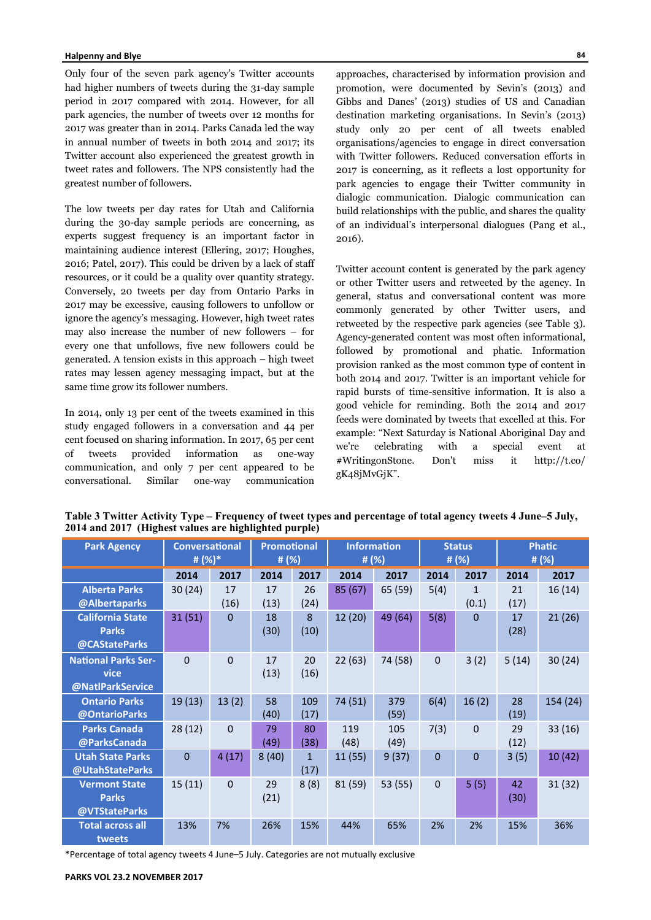Only four of the seven park agency's Twitter accounts had higher numbers of tweets during the 31-day sample period in 2017 compared with 2014. However, for all park agencies, the number of tweets over 12 months for 2017 was greater than in 2014. Parks Canada led the way in annual number of tweets in both 2014 and 2017; its Twitter account also experienced the greatest growth in tweet rates and followers. The NPS consistently had the greatest number of followers.

The low tweets per day rates for Utah and California during the 30-day sample periods are concerning, as experts suggest frequency is an important factor in maintaining audience interest (Ellering, 2017; Houghes, 2016; Patel, 2017). This could be driven by a lack of staff resources, or it could be a quality over quantity strategy. Conversely, 20 tweets per day from Ontario Parks in 2017 may be excessive, causing followers to unfollow or ignore the agency's messaging. However, high tweet rates may also increase the number of new followers – for every one that unfollows, five new followers could be generated. A tension exists in this approach – high tweet rates may lessen agency messaging impact, but at the same time grow its follower numbers.

In 2014, only 13 per cent of the tweets examined in this study engaged followers in a conversation and 44 per cent focused on sharing information. In 2017, 65 per cent of tweets provided information as one-way communication, and only 7 per cent appeared to be conversational. Similar one-way communication

approaches, characterised by information provision and promotion, were documented by Sevin's (2013) and Gibbs and Dancs' (2013) studies of US and Canadian destination marketing organisations. In Sevin's (2013) study only 20 per cent of all tweets enabled organisations/agencies to engage in direct conversation with Twitter followers. Reduced conversation efforts in 2017 is concerning, as it reflects a lost opportunity for park agencies to engage their Twitter community in dialogic communication. Dialogic communication can build relationships with the public, and shares the quality of an individual's interpersonal dialogues (Pang et al., 2016).

Twitter account content is generated by the park agency or other Twitter users and retweeted by the agency. In general, status and conversational content was more commonly generated by other Twitter users, and retweeted by the respective park agencies (see Table 3). Agency-generated content was most often informational, followed by promotional and phatic. Information provision ranked as the most common type of content in both 2014 and 2017. Twitter is an important vehicle for rapid bursts of time-sensitive information. It is also a good vehicle for reminding. Both the 2014 and 2017 feeds were dominated by tweets that excelled at this. For example: "Next Saturday is National Aboriginal Day and we're celebrating with a special event at #WritingonStone. Don't miss it http://t.co/ gK48jMvGjK".

| <b>Park Agency</b>         |              | <b>Promotional</b><br><b>Conversational</b><br><b>Information</b><br># (%)*<br># (%)<br># $(%)$ |       |             |         | <b>Status</b><br># $(%)$ | <b>Phatic</b><br># $(%)$ |              |       |          |
|----------------------------|--------------|-------------------------------------------------------------------------------------------------|-------|-------------|---------|--------------------------|--------------------------|--------------|-------|----------|
|                            | 2014         | 2017                                                                                            | 2014  | 2017        | 2014    | 2017                     | 2014                     | 2017         | 2014  | 2017     |
| <b>Alberta Parks</b>       | 30(24)       | 17                                                                                              | 17    | 26          | 85 (67) | 65 (59)                  | 5(4)                     | $\mathbf{1}$ | 21    | 16(14)   |
| @Albertaparks              |              | (16)                                                                                            | (13)  | (24)        |         |                          |                          | (0.1)        | (17)  |          |
| <b>California State</b>    | 31(51)       | $\Omega$                                                                                        | 18    | 8           | 12 (20) | 49 (64)                  | 5(8)                     | $\mathbf{0}$ | 17    | 21(26)   |
| <b>Parks</b>               |              |                                                                                                 | (30)  | (10)        |         |                          |                          |              | (28)  |          |
| @CAStateParks              |              |                                                                                                 |       |             |         |                          |                          |              |       |          |
| <b>National Parks Ser-</b> | $\mathbf{0}$ | $\Omega$                                                                                        | 17    | 20          | 22(63)  | 74 (58)                  | $\mathbf 0$              | 3(2)         | 5(14) | 30(24)   |
| vice                       |              |                                                                                                 | (13)  | (16)        |         |                          |                          |              |       |          |
| @NatlParkService           |              |                                                                                                 |       |             |         |                          |                          |              |       |          |
| <b>Ontario Parks</b>       | 19(13)       | 13(2)                                                                                           | 58    | 109         | 74 (51) | 379                      | 6(4)                     | 16(2)        | 28    | 154 (24) |
| @OntarioParks              |              |                                                                                                 | (40)  | (17)        |         | (59)                     |                          |              | (19)  |          |
| <b>Parks Canada</b>        | 28(12)       | $\Omega$                                                                                        | 79    | 80          | 119     | 105                      | 7(3)                     | $\Omega$     | 29    | 33(16)   |
| @ParksCanada               |              |                                                                                                 | (49)  | (38)        | (48)    | (49)                     |                          |              | (12)  |          |
| <b>Utah State Parks</b>    | $\mathbf 0$  | 4(17)                                                                                           | 8(40) | $\mathbf 1$ | 11(55)  | 9(37)                    | $\mathbf{0}$             | $\Omega$     | 3(5)  | 10(42)   |
| @UtahStateParks            |              |                                                                                                 |       | (17)        |         |                          |                          |              |       |          |
| <b>Vermont State</b>       | 15(11)       | $\Omega$                                                                                        | 29    | 8(8)        | 81 (59) | 53 (55)                  | $\Omega$                 | 5(5)         | 42    | 31(32)   |
| <b>Parks</b>               |              |                                                                                                 | (21)  |             |         |                          |                          |              | (30)  |          |
| @VTStateParks              |              |                                                                                                 |       |             |         |                          |                          |              |       |          |
| <b>Total across all</b>    | 13%          | 7%                                                                                              | 26%   | 15%         | 44%     | 65%                      | 2%                       | 2%           | 15%   | 36%      |
| tweets                     |              |                                                                                                 |       |             |         |                          |                          |              |       |          |

**Table 3 Twitter Activity Type – Frequency of tweet types and percentage of total agency tweets 4 June–5 July, 2014 and 2017 (Highest values are highlighted purple)** 

\*Percentage of total agency tweets 4 June–5 July. Categories are not mutually exclusive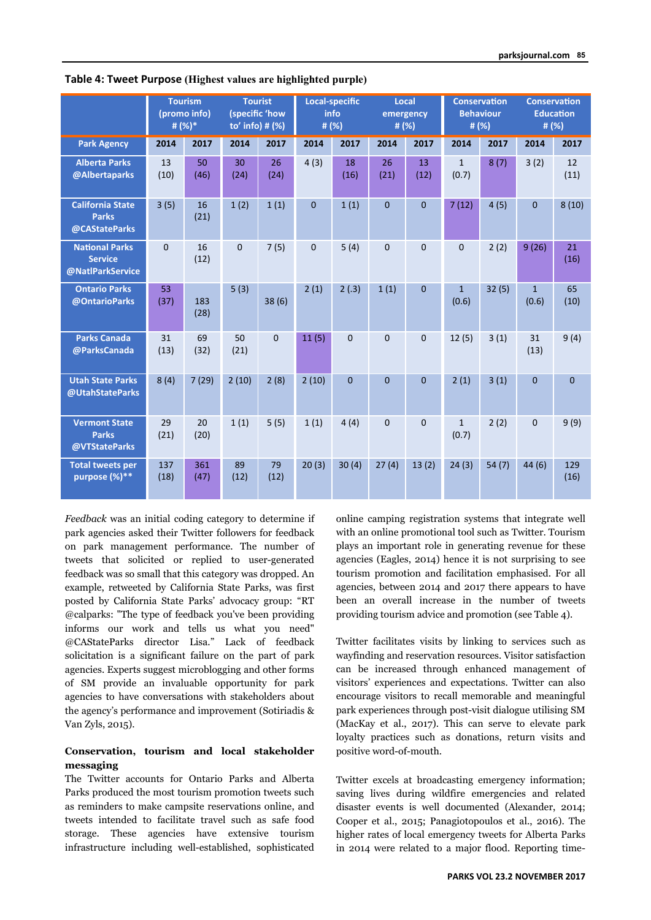|                                                             | <b>Tourism</b><br>(promo info)<br># (%)* |             | <b>Tourist</b><br>(specific 'how<br>to' info) # (%) |              | <b>Local-specific</b><br>info<br># (%) |              | Local<br>emergency<br># $(%)$ |              | <b>Conservation</b><br><b>Behaviour</b><br># $(%)$ |       | <b>Conservation</b><br><b>Education</b><br># (%) |              |
|-------------------------------------------------------------|------------------------------------------|-------------|-----------------------------------------------------|--------------|----------------------------------------|--------------|-------------------------------|--------------|----------------------------------------------------|-------|--------------------------------------------------|--------------|
| <b>Park Agency</b>                                          | 2014                                     | 2017        | 2014                                                | 2017         | 2014                                   | 2017         | 2014                          | 2017         | 2014                                               | 2017  | 2014                                             | 2017         |
| <b>Alberta Parks</b><br>@Albertaparks                       | 13<br>(10)                               | 50<br>(46)  | 30<br>(24)                                          | 26<br>(24)   | 4(3)                                   | 18<br>(16)   | 26<br>(21)                    | 13<br>(12)   | $\mathbf{1}$<br>(0.7)                              | 8(7)  | 3(2)                                             | 12<br>(11)   |
| <b>California State</b><br><b>Parks</b><br>@CAStateParks    | 3(5)                                     | 16<br>(21)  | 1(2)                                                | 1(1)         | $\mathbf{0}$                           | 1(1)         | $\mathbf{0}$                  | $\Omega$     | 7(12)                                              | 4(5)  | $\Omega$                                         | 8(10)        |
| <b>National Parks</b><br><b>Service</b><br>@NatlParkService | $\mathbf 0$                              | 16<br>(12)  | $\mathbf{0}$                                        | 7(5)         | $\mathbf 0$                            | 5(4)         | 0                             | $\mathbf 0$  | $\mathbf 0$                                        | 2(2)  | 9(26)                                            | 21<br>(16)   |
| <b>Ontario Parks</b><br>@OntarioParks                       | 53<br>(37)                               | 183<br>(28) | 5(3)                                                | 38(6)        | 2(1)                                   | 2(.3)        | 1(1)                          | $\mathbf{0}$ | $\mathbf{1}$<br>(0.6)                              | 32(5) | $\mathbf{1}$<br>(0.6)                            | 65<br>(10)   |
| <b>Parks Canada</b><br>@ParksCanada                         | 31<br>(13)                               | 69<br>(32)  | 50<br>(21)                                          | $\mathbf{0}$ | 11(5)                                  | $\mathbf 0$  | 0                             | $\mathbf 0$  | 12(5)                                              | 3(1)  | 31<br>(13)                                       | 9(4)         |
| <b>Utah State Parks</b><br>@UtahStateParks                  | 8(4)                                     | 7(29)       | 2(10)                                               | 2(8)         | 2(10)                                  | $\mathbf{0}$ | $\overline{0}$                | $\Omega$     | 2(1)                                               | 3(1)  | $\Omega$                                         | $\mathbf{0}$ |
| <b>Vermont State</b><br><b>Parks</b><br>@VTStateParks       | 29<br>(21)                               | 20<br>(20)  | 1(1)                                                | 5(5)         | 1(1)                                   | 4(4)         | 0                             | $\Omega$     | $\mathbf{1}$<br>(0.7)                              | 2(2)  | $\Omega$                                         | 9(9)         |
| <b>Total tweets per</b><br>purpose (%)**                    | 137<br>(18)                              | 361<br>(47) | 89<br>(12)                                          | 79<br>(12)   | 20(3)                                  | 30(4)        | 27(4)                         | 13(2)        | 24(3)                                              | 54(7) | 44(6)                                            | 129<br>(16)  |

**Table 4: Tweet Purpose (Highest values are highlighted purple)**

*Feedback* was an initial coding category to determine if park agencies asked their Twitter followers for feedback on park management performance. The number of tweets that solicited or replied to user-generated feedback was so small that this category was dropped. An example, retweeted by California State Parks, was first posted by California State Parks' advocacy group: "RT @calparks: "The type of feedback you've been providing informs our work and tells us what you need" @CAStateParks director Lisa." Lack of feedback solicitation is a significant failure on the part of park agencies. Experts suggest microblogging and other forms of SM provide an invaluable opportunity for park agencies to have conversations with stakeholders about the agency's performance and improvement (Sotiriadis & Van Zyls, 2015).

# **Conservation, tourism and local stakeholder messaging**

The Twitter accounts for Ontario Parks and Alberta Parks produced the most tourism promotion tweets such as reminders to make campsite reservations online, and tweets intended to facilitate travel such as safe food storage. These agencies have extensive tourism infrastructure including well-established, sophisticated online camping registration systems that integrate well with an online promotional tool such as Twitter. Tourism plays an important role in generating revenue for these agencies (Eagles, 2014) hence it is not surprising to see tourism promotion and facilitation emphasised. For all agencies, between 2014 and 2017 there appears to have been an overall increase in the number of tweets providing tourism advice and promotion (see Table 4).

Twitter facilitates visits by linking to services such as wayfinding and reservation resources. Visitor satisfaction can be increased through enhanced management of visitors' experiences and expectations. Twitter can also encourage visitors to recall memorable and meaningful park experiences through post-visit dialogue utilising SM (MacKay et al., 2017). This can serve to elevate park loyalty practices such as donations, return visits and positive word-of-mouth.

Twitter excels at broadcasting emergency information; saving lives during wildfire emergencies and related disaster events is well documented (Alexander, 2014; Cooper et al., 2015; Panagiotopoulos et al., 2016). The higher rates of local emergency tweets for Alberta Parks in 2014 were related to a major flood. Reporting time-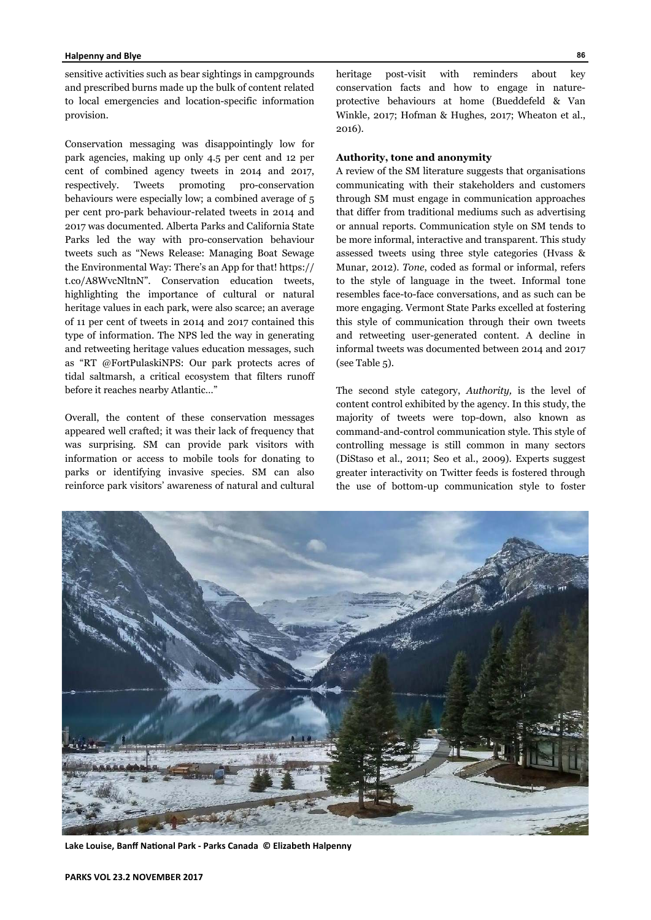sensitive activities such as bear sightings in campgrounds and prescribed burns made up the bulk of content related to local emergencies and location-specific information provision.

Conservation messaging was disappointingly low for park agencies, making up only 4.5 per cent and 12 per cent of combined agency tweets in 2014 and 2017, respectively. Tweets promoting pro-conservation behaviours were especially low; a combined average of 5 per cent pro-park behaviour-related tweets in 2014 and 2017 was documented. Alberta Parks and California State Parks led the way with pro-conservation behaviour tweets such as "News Release: Managing Boat Sewage the Environmental Way: There's an App for that! https:// t.co/A8WvcNltnN". Conservation education tweets, highlighting the importance of cultural or natural heritage values in each park, were also scarce; an average of 11 per cent of tweets in 2014 and 2017 contained this type of information. The NPS led the way in generating and retweeting heritage values education messages, such as "RT @FortPulaskiNPS: Our park protects acres of tidal saltmarsh, a critical ecosystem that filters runoff before it reaches nearby Atlantic…"

Overall, the content of these conservation messages appeared well crafted; it was their lack of frequency that was surprising. SM can provide park visitors with information or access to mobile tools for donating to parks or identifying invasive species. SM can also reinforce park visitors' awareness of natural and cultural heritage post-visit with reminders about key conservation facts and how to engage in natureprotective behaviours at home (Bueddefeld & Van Winkle, 2017; Hofman & Hughes, 2017; Wheaton et al., 2016).

#### **Authority, tone and anonymity**

A review of the SM literature suggests that organisations communicating with their stakeholders and customers through SM must engage in communication approaches that differ from traditional mediums such as advertising or annual reports. Communication style on SM tends to be more informal, interactive and transparent. This study assessed tweets using three style categories (Hvass & Munar, 2012). *Tone*, coded as formal or informal, refers to the style of language in the tweet. Informal tone resembles face-to-face conversations, and as such can be more engaging. Vermont State Parks excelled at fostering this style of communication through their own tweets and retweeting user-generated content. A decline in informal tweets was documented between 2014 and 2017 (see Table 5).

The second style category, *Authority,* is the level of content control exhibited by the agency. In this study, the majority of tweets were top-down, also known as command-and-control communication style. This style of controlling message is still common in many sectors (DiStaso et al., 2011; Seo et al., 2009). Experts suggest greater interactivity on Twitter feeds is fostered through the use of bottom-up communication style to foster



Lake Louise, Banff National Park - Parks Canada © Elizabeth Halpenny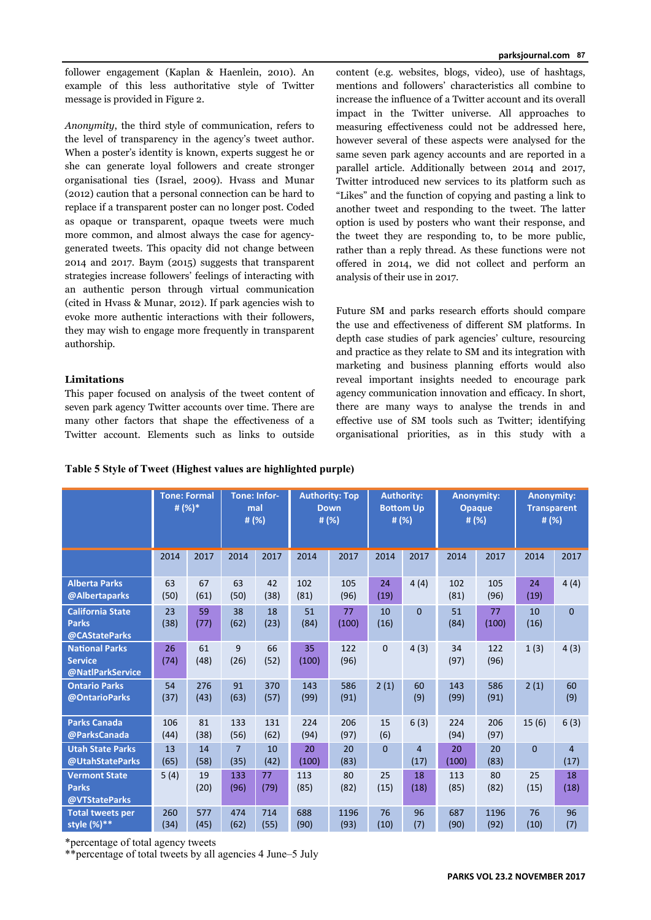follower engagement (Kaplan & Haenlein, 2010). An example of this less authoritative style of Twitter message is provided in Figure 2.

*Anonymity*, the third style of communication, refers to the level of transparency in the agency's tweet author. When a poster's identity is known, experts suggest he or she can generate loyal followers and create stronger organisational ties (Israel, 2009). Hvass and Munar (2012) caution that a personal connection can be hard to replace if a transparent poster can no longer post. Coded as opaque or transparent, opaque tweets were much more common, and almost always the case for agencygenerated tweets. This opacity did not change between 2014 and 2017. Baym (2015) suggests that transparent strategies increase followers' feelings of interacting with an authentic person through virtual communication (cited in Hvass & Munar, 2012). If park agencies wish to evoke more authentic interactions with their followers, they may wish to engage more frequently in transparent authorship.

## **Limitations**

This paper focused on analysis of the tweet content of seven park agency Twitter accounts over time. There are many other factors that shape the effectiveness of a Twitter account. Elements such as links to outside

content (e.g. websites, blogs, video), use of hashtags, mentions and followers' characteristics all combine to increase the influence of a Twitter account and its overall impact in the Twitter universe. All approaches to measuring effectiveness could not be addressed here, however several of these aspects were analysed for the same seven park agency accounts and are reported in a parallel article. Additionally between 2014 and 2017, Twitter introduced new services to its platform such as "Likes" and the function of copying and pasting a link to another tweet and responding to the tweet. The latter option is used by posters who want their response, and the tweet they are responding to, to be more public, rather than a reply thread. As these functions were not offered in 2014, we did not collect and perform an analysis of their use in 2017.

Future SM and parks research efforts should compare the use and effectiveness of different SM platforms. In depth case studies of park agencies' culture, resourcing and practice as they relate to SM and its integration with marketing and business planning efforts would also reveal important insights needed to encourage park agency communication innovation and efficacy. In short, there are many ways to analyse the trends in and effective use of SM tools such as Twitter; identifying organisational priorities, as in this study with a

|                                                             | <b>Tone: Formal</b><br># (%)* |             | <b>Tone: Infor-</b><br>mal<br># (%) |             | <b>Authority: Top</b><br><b>Down</b><br># (%) |              | <b>Authority:</b><br><b>Bottom Up</b><br># $(%)$ |                        | <b>Anonymity:</b><br><b>Opaque</b><br># $(%)$ |              | <b>Anonymity:</b><br><b>Transparent</b><br># $(%)$ |                        |
|-------------------------------------------------------------|-------------------------------|-------------|-------------------------------------|-------------|-----------------------------------------------|--------------|--------------------------------------------------|------------------------|-----------------------------------------------|--------------|----------------------------------------------------|------------------------|
|                                                             | 2014                          | 2017        | 2014                                | 2017        | 2014                                          | 2017         | 2014                                             | 2017                   | 2014                                          | 2017         | 2014                                               | 2017                   |
| <b>Alberta Parks</b><br>@Albertaparks                       | 63<br>(50)                    | 67<br>(61)  | 63<br>(50)                          | 42<br>(38)  | 102<br>(81)                                   | 105<br>(96)  | 24<br>(19)                                       | 4(4)                   | 102<br>(81)                                   | 105<br>(96)  | 24<br>(19)                                         | 4(4)                   |
| <b>California State</b><br><b>Parks</b><br>@CAStateParks    | 23<br>(38)                    | 59<br>(77)  | 38<br>(62)                          | 18<br>(23)  | 51<br>(84)                                    | 77<br>(100)  | 10<br>(16)                                       | $\Omega$               | 51<br>(84)                                    | 77<br>(100)  | 10<br>(16)                                         | $\Omega$               |
| <b>National Parks</b><br><b>Service</b><br>@NatlParkService | 26<br>(74)                    | 61<br>(48)  | 9<br>(26)                           | 66<br>(52)  | 35<br>(100)                                   | 122<br>(96)  | $\Omega$                                         | 4(3)                   | 34<br>(97)                                    | 122<br>(96)  | 1(3)                                               | 4(3)                   |
| <b>Ontario Parks</b><br>@OntarioParks                       | 54<br>(37)                    | 276<br>(43) | 91<br>(63)                          | 370<br>(57) | 143<br>(99)                                   | 586<br>(91)  | 2(1)                                             | 60<br>(9)              | 143<br>(99)                                   | 586<br>(91)  | 2(1)                                               | 60<br>(9)              |
| <b>Parks Canada</b><br>@ParksCanada                         | 106<br>(44)                   | 81<br>(38)  | 133<br>(56)                         | 131<br>(62) | 224<br>(94)                                   | 206<br>(97)  | 15<br>(6)                                        | 6(3)                   | 224<br>(94)                                   | 206<br>(97)  | 15(6)                                              | 6(3)                   |
| <b>Utah State Parks</b><br>@UtahStateParks                  | 13<br>(65)                    | 14<br>(58)  | $\overline{7}$<br>(35)              | 10<br>(42)  | 20<br>(100)                                   | 20<br>(83)   | $\Omega$                                         | $\overline{4}$<br>(17) | 20<br>(100)                                   | 20<br>(83)   | $\overline{0}$                                     | $\overline{4}$<br>(17) |
| <b>Vermont State</b><br><b>Parks</b><br>@VTStateParks       | 5(4)                          | 19<br>(20)  | 133<br>(96)                         | 77<br>(79)  | 113<br>(85)                                   | 80<br>(82)   | 25<br>(15)                                       | 18<br>(18)             | 113<br>(85)                                   | 80<br>(82)   | 25<br>(15)                                         | 18<br>(18)             |
| <b>Total tweets per</b><br>style $(\%)**$                   | 260<br>(34)                   | 577<br>(45) | 474<br>(62)                         | 714<br>(55) | 688<br>(90)                                   | 1196<br>(93) | 76<br>(10)                                       | 96<br>(7)              | 687<br>(90)                                   | 1196<br>(92) | 76<br>(10)                                         | 96<br>(7)              |

# **Table 5 Style of Tweet (Highest values are highlighted purple)**

\*percentage of total agency tweets

\*\*percentage of total tweets by all agencies 4 June–5 July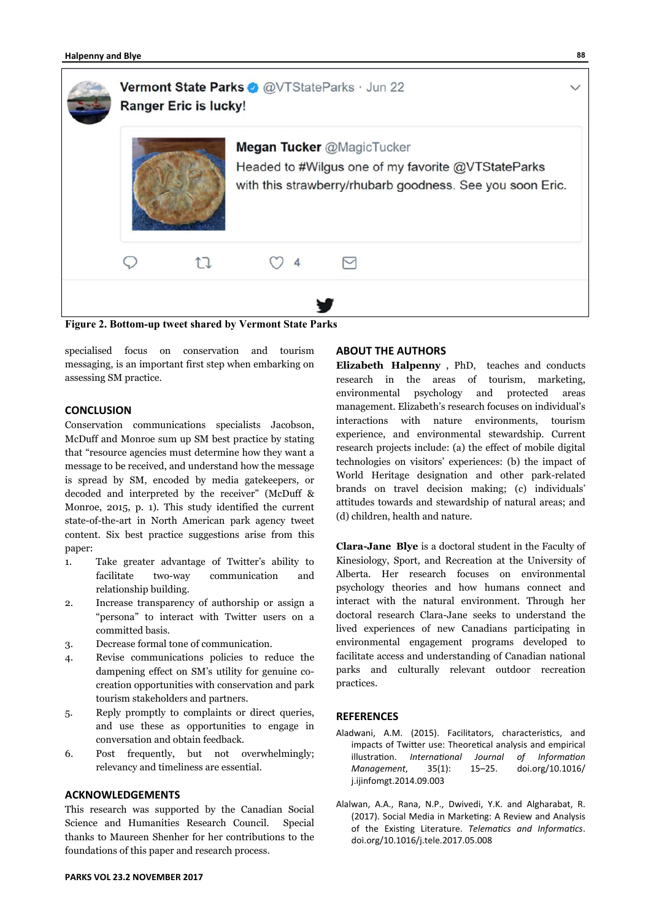

**Figure 2. Bottom-up tweet shared by Vermont State Parks** 

specialised focus on conservation and tourism messaging, is an important first step when embarking on assessing SM practice.

# **CONCLUSION**

Conservation communications specialists Jacobson, McDuff and Monroe sum up SM best practice by stating that "resource agencies must determine how they want a message to be received, and understand how the message is spread by SM, encoded by media gatekeepers, or decoded and interpreted by the receiver" (McDuff & Monroe, 2015, p. 1). This study identified the current state-of-the-art in North American park agency tweet content. Six best practice suggestions arise from this paper:

- 1. Take greater advantage of Twitter's ability to facilitate two-way communication and relationship building.
- 2. Increase transparency of authorship or assign a "persona" to interact with Twitter users on a committed basis.
- 3. Decrease formal tone of communication.
- 4. Revise communications policies to reduce the dampening effect on SM's utility for genuine cocreation opportunities with conservation and park tourism stakeholders and partners.
- 5. Reply promptly to complaints or direct queries, and use these as opportunities to engage in conversation and obtain feedback.
- 6. Post frequently, but not overwhelmingly; relevancy and timeliness are essential.

# **ACKNOWLEDGEMENTS**

This research was supported by the Canadian Social Science and Humanities Research Council. Special thanks to Maureen Shenher for her contributions to the foundations of this paper and research process.

## **ABOUT THE AUTHORS**

**Elizabeth Halpenny** , PhD, teaches and conducts research in the areas of tourism, marketing, environmental psychology and protected areas management. Elizabeth's research focuses on individual's interactions with nature environments, tourism experience, and environmental stewardship. Current research projects include: (a) the effect of mobile digital technologies on visitors' experiences: (b) the impact of World Heritage designation and other park-related brands on travel decision making; (c) individuals' attitudes towards and stewardship of natural areas; and (d) children, health and nature.

**Clara-Jane Blye** is a doctoral student in the Faculty of Kinesiology, Sport, and Recreation at the University of Alberta. Her research focuses on environmental psychology theories and how humans connect and interact with the natural environment. Through her doctoral research Clara-Jane seeks to understand the lived experiences of new Canadians participating in environmental engagement programs developed to facilitate access and understanding of Canadian national parks and culturally relevant outdoor recreation practices.

## **REFERENCES**

- Aladwani, A.M. (2015). Facilitators, characteristics, and impacts of Twitter use: Theoretical analysis and empirical illustration. *International Journal of Information Management*, 35(1): 15–25. doi.org/10.1016/ j.ijinfomgt.2014.09.003
- Alalwan, A.A., Rana, N.P., Dwivedi, Y.K. and Algharabat, R. (2017). Social Media in Marketing: A Review and Analysis of the Existing Literature. *Telematics and Informatics*. doi.org/10.1016/j.tele.2017.05.008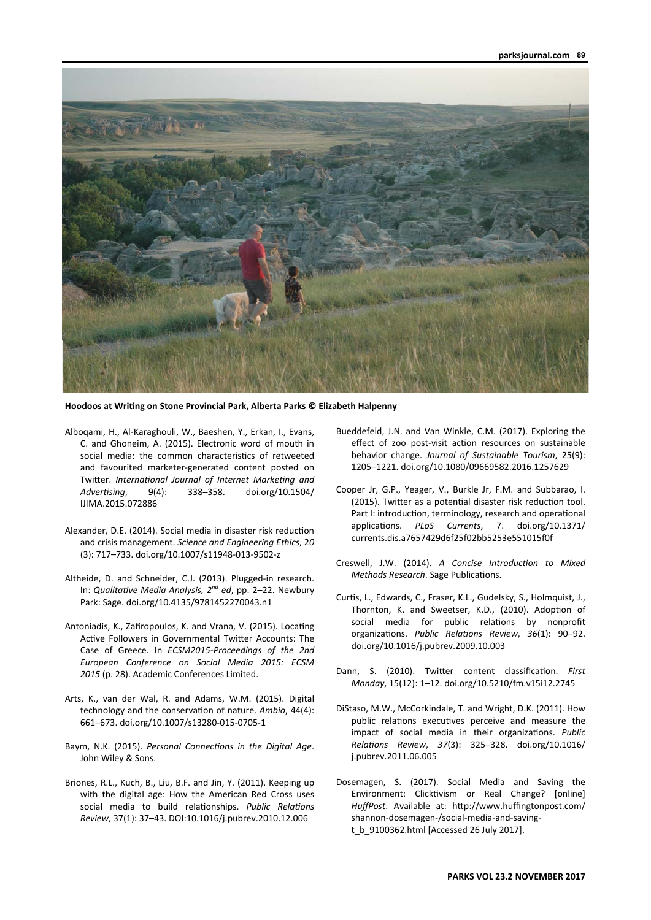

**Hoodoos at WriƟng on Stone Provincial Park, Alberta Parks © Elizabeth Halpenny** 

- Alboqami, H., Al-Karaghouli, W., Baeshen, Y., Erkan, I., Evans, C. and Ghoneim, A. (2015). Electronic word of mouth in social media: the common characteristics of retweeted and favourited marketer-generated content posted on Twitter. *International Journal of Internet Marketing and AdverƟsing*, 9(4): 338–358. doi.org/10.1504/ IJIMA.2015.072886
- Alexander, D.E. (2014). Social media in disaster risk reduction and crisis management. *Science and Engineering Ethics*, 2*0* (3): 717–733. doi.org/10.1007/s11948-013-9502-z
- Altheide, D. and Schneider, C.J. (2013). Plugged-in research. In: *QualitaƟve Media Analysis, 2nd ed*, pp. 2–22. Newbury Park: Sage. doi.org/10.4135/9781452270043.n1
- Antoniadis, K., Zafiropoulos, K. and Vrana, V. (2015). Locating Active Followers in Governmental Twitter Accounts: The Case of Greece. In *ECSM2015‐Proceedings of the 2nd European Conference on Social Media 2015: ECSM 2015* (p. 28). Academic Conferences Limited.
- Arts, K., van der Wal, R. and Adams, W.M. (2015). Digital technology and the conservation of nature. Ambio, 44(4): 661–673. doi.org/10.1007/s13280-015-0705-1
- Baym, N.K. (2015). *Personal Connections in the Digital Age*. John Wiley & Sons.
- Briones, R.L., Kuch, B., Liu, B.F. and Jin, Y. (2011). Keeping up with the digital age: How the American Red Cross uses social media to build relationships. Public Relations *Review*, 37(1): 37–43. DOI:10.1016/j.pubrev.2010.12.006
- Bueddefeld, J.N. and Van Winkle, C.M. (2017). Exploring the effect of zoo post-visit action resources on sustainable behavior change. *Journal of Sustainable Tourism*, 25(9): 1205–1221. doi.org/10.1080/09669582.2016.1257629
- Cooper Jr, G.P., Yeager, V., Burkle Jr, F.M. and Subbarao, I. (2015). Twitter as a potential disaster risk reduction tool. Part I: introduction, terminology, research and operational applicaƟons. *PLoS Currents*, 7. doi.org/10.1371/ currents.dis.a7657429d6f25f02bb5253e551015f0f
- Creswell, J.W. (2014). A Concise Introduction to Mixed *Methods Research*. Sage Publications.
- Curtis, L., Edwards, C., Fraser, K.L., Gudelsky, S., Holmquist, J., Thornton, K. and Sweetser, K.D., (2010). Adoption of social media for public relations by nonprofit organizaƟons. *Public RelaƟons Review*, *36*(1): 90–92. doi.org/10.1016/j.pubrev.2009.10.003
- Dann, S. (2010). Twitter content classification. First *Monday*, 15(12): 1–12. doi.org/10.5210/fm.v15i12.2745
- DiStaso, M.W., McCorkindale, T. and Wright, D.K. (2011). How public relations executives perceive and measure the impact of social media in their organizations. Public *RelaƟons Review*, *37*(3): 325–328. doi.org/10.1016/ j.pubrev.2011.06.005
- Dosemagen, S. (2017). Social Media and Saving the Environment: Clicktivism or Real Change? [online] *HuffPost*. Available at: hƩp://www.huffingtonpost.com/ shannon-dosemagen-/social-media-and-savingt\_b\_9100362.html [Accessed 26 July 2017].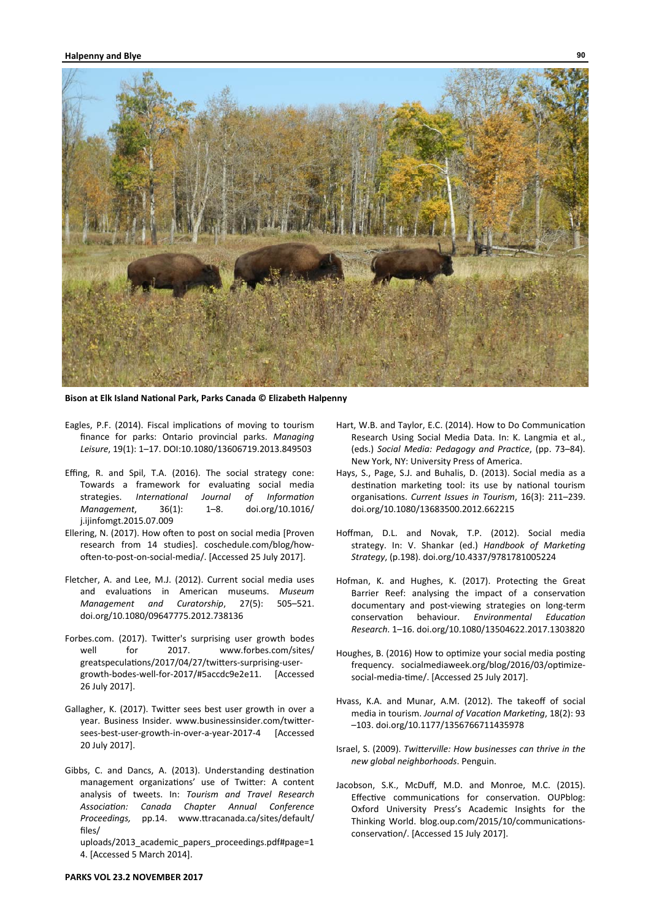

**Bison at Elk Island NaƟonal Park, Parks Canada © Elizabeth Halpenny** 

- Eagles, P.F. (2014). Fiscal implications of moving to tourism finance for parks: Ontario provincial parks. *Managing Leisure*, 19(1): 1–17. DOI:10.1080/13606719.2013.849503
- Effing, R. and Spil, T.A. (2016). The social strategy cone: Towards a framework for evaluating social media strategies. *International Journal of Information Management*, 36(1): 1–8. doi.org/10.1016/ j.ijinfomgt.2015.07.009
- Ellering, N. (2017). How often to post on social media [Proven] research from 14 studies]. coschedule.com/blog/howoften-to-post-on-social-media/. [Accessed 25 July 2017].
- Fletcher, A. and Lee, M.J. (2012). Current social media uses and evaluations in American museums. Museum *Management and Curatorship*, 27(5): 505–521. doi.org/10.1080/09647775.2012.738136
- Forbes.com. (2017). Twitter's surprising user growth bodes well for 2017. www.forbes.com/sites/ greatspeculations/2017/04/27/twitters-surprising-usergrowth-bodes-well-for-2017/#5accdc9e2e11. [Accessed 26 July 2017].
- Gallagher, K. (2017). Twitter sees best user growth in over a year. Business Insider. www.businessinsider.com/twittersees-best-user-growth-in-over-a-year-2017-4 [Accessed 20 July 2017].
- Gibbs, C. and Dancs, A. (2013). Understanding destination management organizations' use of Twitter: A content analysis of tweets. In: *Tourism and Travel Research AssociaƟon: Canada Chapter Annual Conference Proceedings,* pp.14. www.Ʃracanada.ca/sites/default/ files/

uploads/2013\_academic\_papers\_proceedings.pdf#page=1 4. [Accessed 5 March 2014].

- Hart, W.B. and Taylor, E.C. (2014). How to Do Communication Research Using Social Media Data. In: K. Langmia et al., (eds.) *Social Media: Pedagogy and PracƟce*, (pp. 73–84). New York, NY: University Press of America.
- Hays, S., Page, S.J. and Buhalis, D. (2013). Social media as a destination marketing tool: its use by national tourism organisaƟons. *Current Issues in Tourism*, 16(3): 211–239. doi.org/10.1080/13683500.2012.662215
- Hoffman, D.L. and Novak, T.P. (2012). Social media strategy. In: V. Shankar (ed.) *Handbook of Marketing Strategy*, (p.198). doi.org/10.4337/9781781005224
- Hofman, K. and Hughes, K. (2017). Protecting the Great Barrier Reef: analysing the impact of a conservation documentary and post-viewing strategies on long-term conservaƟon behaviour. *Environmental EducaƟon Research*. 1–16. doi.org/10.1080/13504622.2017.1303820
- Houghes, B. (2016) How to optimize your social media posting frequency. socialmediaweek.org/blog/2016/03/optimizesocial-media-time/. [Accessed 25 July 2017].
- Hvass, K.A. and Munar, A.M. (2012). The takeoff of social media in tourism. Journal of Vacation Marketing, 18(2): 93 –103. doi.org/10.1177/1356766711435978
- Israel, S. (2009). *TwiƩerville: How businesses can thrive in the new global neighborhoods*. Penguin.
- Jacobson, S.K., McDuff, M.D. and Monroe, M.C. (2015). Effective communications for conservation. OUPblog: Oxford University Press's Academic Insights for the Thinking World. blog.oup.com/2015/10/communicationsconservation/. [Accessed 15 July 2017].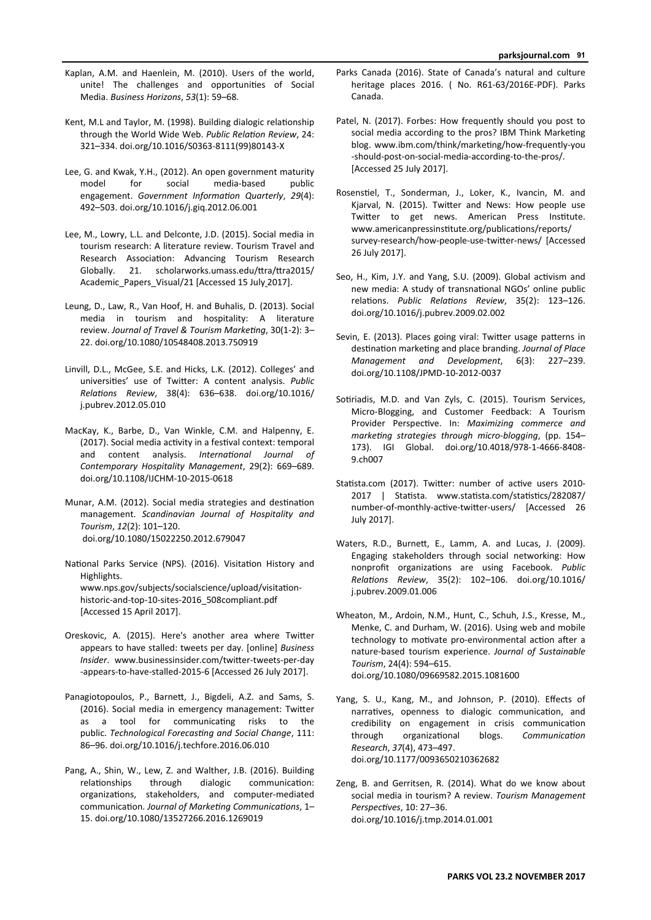- Kaplan, A.M. and Haenlein, M. (2010). Users of the world, unite! The challenges and opportunities of Social Media. *Business Horizons*, *53*(1): 59–68.
- Kent, M.L and Taylor, M. (1998). Building dialogic relationship through the World Wide Web. *Public RelaƟon Review*, 24: 321–334. doi.org/10.1016/S0363-8111(99)80143-X
- Lee, G. and Kwak, Y.H., (2012). An open government maturity model for social media-based public engagement. Government Information Quarterly, 29(4): 492–503. doi.org/10.1016/j.giq.2012.06.001
- Lee, M., Lowry, L.L. and Delconte, J.D. (2015). Social media in tourism research: A literature review. Tourism Travel and Research Association: Advancing Tourism Research Globally. 21. scholarworks.umass.edu/ttra/ttra2015/ Academic\_Papers\_Visual/21 [Accessed 15 July 2017].
- Leung, D., Law, R., Van Hoof, H. and Buhalis, D. (2013). Social media in tourism and hospitality: A literature review. Journal of Travel & Tourism Marketing, 30(1-2): 3-22. doi.org/10.1080/10548408.2013.750919
- Linvill, D.L., McGee, S.E. and Hicks, L.K. (2012). Colleges' and universities' use of Twitter: A content analysis. Public *RelaƟons Review*, 38(4): 636–638. doi.org/10.1016/ j.pubrev.2012.05.010
- MacKay, K., Barbe, D., Van Winkle, C.M. and Halpenny, E. (2017). Social media activity in a festival context: temporal and content analysis. *International Journal of Contemporary Hospitality Management*, 29(2): 669–689. doi.org/10.1108/IJCHM-10-2015-0618
- Munar, A.M. (2012). Social media strategies and destination management. *Scandinavian Journal of Hospitality and Tourism*, *12*(2): 101–120. doi.org/10.1080/15022250.2012.679047
- National Parks Service (NPS). (2016). Visitation History and Highlights. www.nps.gov/subjects/socialscience/upload/visitationhistoric-and-top-10-sites-2016\_508compliant.pdf [Accessed 15 April 2017].
- Oreskovic, A. (2015). Here's another area where Twitter appears to have stalled: tweets per day. [online] *Business Insider.* www.businessinsider.com/twitter-tweets-per-day -appears-to-have-stalled-2015-6 [Accessed 26 July 2017].
- Panagiotopoulos, P., Barnett, J., Bigdeli, A.Z. and Sams, S. (2016). Social media in emergency management: Twitter as a tool for communicating risks to the public. *Technological Forecasting and Social Change*, 111: 86–96. doi.org/10.1016/j.techfore.2016.06.010
- Pang, A., Shin, W., Lew, Z. and Walther, J.B. (2016). Building relationships through dialogic communication: organizations, stakeholders, and computer-mediated communication. *Journal of Marketing Communications*, 1– 15. doi.org/10.1080/13527266.2016.1269019
- Parks Canada (2016). State of Canada's natural and culture heritage places 2016. ( No. R61-63/2016E-PDF). Parks Canada.
- Patel, N. (2017). Forbes: How frequently should you post to social media according to the pros? IBM Think Marketing blog. www.ibm.com/think/marketing/how-frequently-you -should-post-on-social-media-according-to-the-pros/. [Accessed 25 July 2017].
- Rosenstiel, T., Sonderman, J., Loker, K., Ivancin, M. and Kjarval, N. (2015). Twitter and News: How people use Twitter to get news. American Press Institute. www.americanpressinstitute.org/publications/reports/ survey-research/how-people-use-twitter-news/ [Accessed 26 July 2017].
- Seo, H., Kim, J.Y. and Yang, S.U. (2009). Global activism and new media: A study of transnational NGOs' online public relaƟons. *Public RelaƟons Review*, 35(2): 123–126. doi.org/10.1016/j.pubrev.2009.02.002
- Sevin, E. (2013). Places going viral: Twitter usage patterns in destination marketing and place branding. Journal of Place *Management and Development*, 6(3): 227–239. doi.org/10.1108/JPMD-10-2012-0037
- Sotiriadis, M.D. and Van Zyls, C. (2015). Tourism Services, Micro-Blogging, and Customer Feedback: A Tourism Provider Perspective. In: *Maximizing commerce and markeƟng strategies through micro‐blogging*, (pp. 154– 173). IGI Global. doi.org/10.4018/978-1-4666-8408- 9.ch007
- Statista.com (2017). Twitter: number of active users 2010-2017 | Statista. www.statista.com/statistics/282087/ number-of-monthly-active-twitter-users/ [Accessed 26 July 2017].
- Waters, R.D., Burnett, E., Lamm, A. and Lucas, J. (2009). Engaging stakeholders through social networking: How nonprofit organizaƟons are using Facebook. *Public RelaƟons Review*, 35(2): 102–106. doi.org/10.1016/ j.pubrev.2009.01.006
- Wheaton, M., Ardoin, N.M., Hunt, C., Schuh, J.S., Kresse, M., Menke, C. and Durham, W. (2016). Using web and mobile technology to motivate pro-environmental action after a nature-based tourism experience. *Journal of Sustainable Tourism*, 24(4): 594–615. doi.org/10.1080/09669582.2015.1081600
- Yang, S. U., Kang, M., and Johnson, P. (2010). Effects of narratives, openness to dialogic communication, and credibility on engagement in crisis communication through organizational blogs. *Communication Research*, *37*(4), 473–497. doi.org/10.1177/0093650210362682
- Zeng, B. and Gerritsen, R. (2014). What do we know about social media in tourism? A review. *Tourism Management PerspecƟves*, 10: 27–36. doi.org/10.1016/j.tmp.2014.01.001